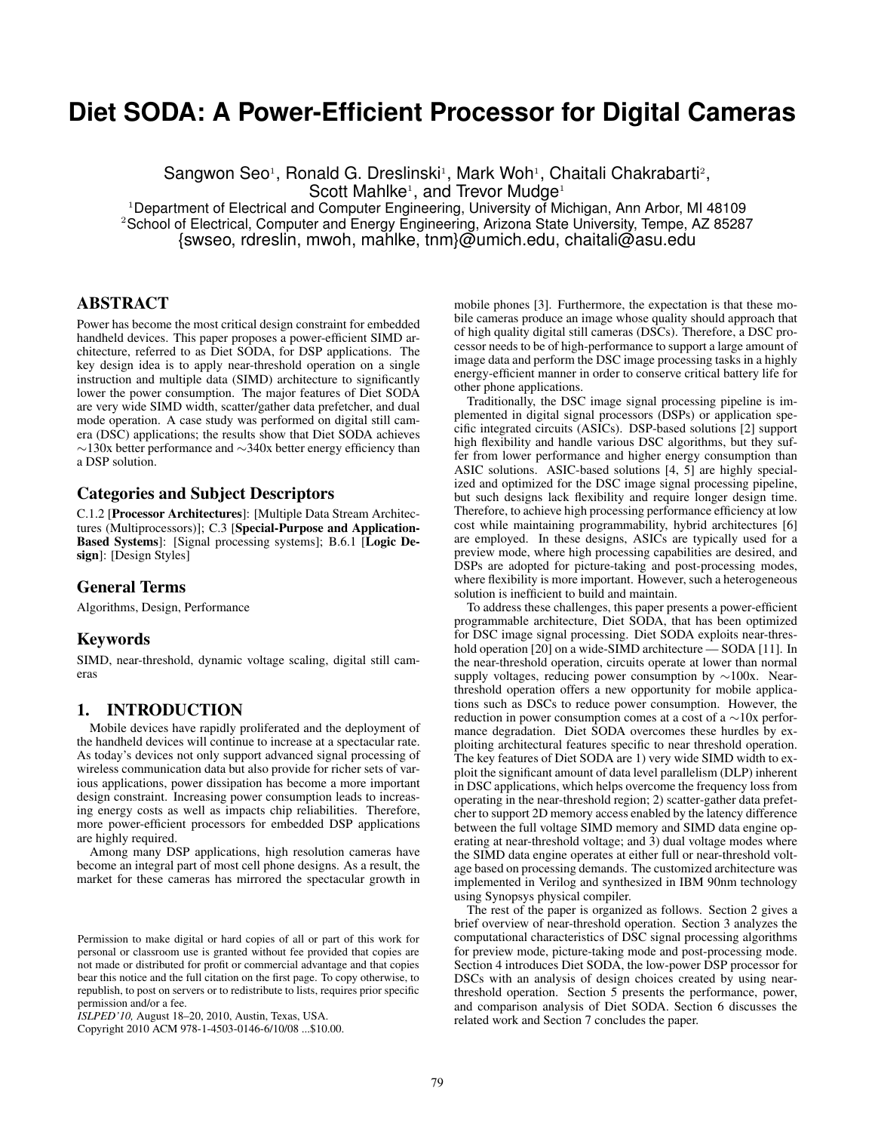# **Diet SODA: A Power-Efficient Processor for Digital Cameras**

Sangwon Seo<sup>1</sup>, Ronald G. Dreslinski<sup>1</sup>, Mark Woh<sup>1</sup>, Chaitali Chakrabarti<sup>2</sup>, Scott Mahlke<sup>1</sup>, and Trevor Mudge<sup>1</sup>

<sup>1</sup>Department of Electrical and Computer Engineering, University of Michigan, Ann Arbor, MI 48109 <sup>2</sup>School of Electrical, Computer and Energy Engineering, Arizona State University, Tempe, AZ 85287 {swseo, rdreslin, mwoh, mahlke, tnm}@umich.edu, chaitali@asu.edu

### ABSTRACT

Power has become the most critical design constraint for embedded handheld devices. This paper proposes a power-efficient SIMD architecture, referred to as Diet SODA, for DSP applications. The key design idea is to apply near-threshold operation on a single instruction and multiple data (SIMD) architecture to significantly lower the power consumption. The major features of Diet SODA are very wide SIMD width, scatter/gather data prefetcher, and dual mode operation. A case study was performed on digital still camera (DSC) applications; the results show that Diet SODA achieves ∼130x better performance and ∼340x better energy efficiency than a DSP solution.

### Categories and Subject Descriptors

C.1.2 [Processor Architectures]: [Multiple Data Stream Architectures (Multiprocessors)]; C.3 [Special-Purpose and Application-Based Systems]: [Signal processing systems]; B.6.1 [Logic Design]: [Design Styles]

### General Terms

Algorithms, Design, Performance

### Keywords

SIMD, near-threshold, dynamic voltage scaling, digital still cameras

### 1. INTRODUCTION

Mobile devices have rapidly proliferated and the deployment of the handheld devices will continue to increase at a spectacular rate. As today's devices not only support advanced signal processing of wireless communication data but also provide for richer sets of various applications, power dissipation has become a more important design constraint. Increasing power consumption leads to increasing energy costs as well as impacts chip reliabilities. Therefore, more power-efficient processors for embedded DSP applications are highly required.

Among many DSP applications, high resolution cameras have become an integral part of most cell phone designs. As a result, the market for these cameras has mirrored the spectacular growth in

Copyright 2010 ACM 978-1-4503-0146-6/10/08 ...\$10.00.

mobile phones [3]. Furthermore, the expectation is that these mobile cameras produce an image whose quality should approach that of high quality digital still cameras (DSCs). Therefore, a DSC processor needs to be of high-performance to support a large amount of image data and perform the DSC image processing tasks in a highly energy-efficient manner in order to conserve critical battery life for other phone applications.

Traditionally, the DSC image signal processing pipeline is implemented in digital signal processors (DSPs) or application specific integrated circuits (ASICs). DSP-based solutions [2] support high flexibility and handle various DSC algorithms, but they suffer from lower performance and higher energy consumption than ASIC solutions. ASIC-based solutions [4, 5] are highly specialized and optimized for the DSC image signal processing pipeline, but such designs lack flexibility and require longer design time. Therefore, to achieve high processing performance efficiency at low cost while maintaining programmability, hybrid architectures [6] are employed. In these designs, ASICs are typically used for a preview mode, where high processing capabilities are desired, and DSPs are adopted for picture-taking and post-processing modes, where flexibility is more important. However, such a heterogeneous solution is inefficient to build and maintain.

To address these challenges, this paper presents a power-efficient programmable architecture, Diet SODA, that has been optimized for DSC image signal processing. Diet SODA exploits near-threshold operation [20] on a wide-SIMD architecture — SODA [11]. In the near-threshold operation, circuits operate at lower than normal supply voltages, reducing power consumption by ∼100x. Nearthreshold operation offers a new opportunity for mobile applications such as DSCs to reduce power consumption. However, the reduction in power consumption comes at a cost of a ∼10x performance degradation. Diet SODA overcomes these hurdles by exploiting architectural features specific to near threshold operation. The key features of Diet SODA are 1) very wide SIMD width to exploit the significant amount of data level parallelism (DLP) inherent in DSC applications, which helps overcome the frequency loss from operating in the near-threshold region; 2) scatter-gather data prefetcher to support 2D memory access enabled by the latency difference between the full voltage SIMD memory and SIMD data engine operating at near-threshold voltage; and 3) dual voltage modes where the SIMD data engine operates at either full or near-threshold voltage based on processing demands. The customized architecture was implemented in Verilog and synthesized in IBM 90nm technology using Synopsys physical compiler.

The rest of the paper is organized as follows. Section 2 gives a brief overview of near-threshold operation. Section 3 analyzes the computational characteristics of DSC signal processing algorithms for preview mode, picture-taking mode and post-processing mode. Section 4 introduces Diet SODA, the low-power DSP processor for DSCs with an analysis of design choices created by using nearthreshold operation. Section 5 presents the performance, power, and comparison analysis of Diet SODA. Section 6 discusses the related work and Section 7 concludes the paper.

Permission to make digital or hard copies of all or part of this work for personal or classroom use is granted without fee provided that copies are not made or distributed for profit or commercial advantage and that copies bear this notice and the full citation on the first page. To copy otherwise, to republish, to post on servers or to redistribute to lists, requires prior specific permission and/or a fee.

*ISLPED'10,* August 18–20, 2010, Austin, Texas, USA.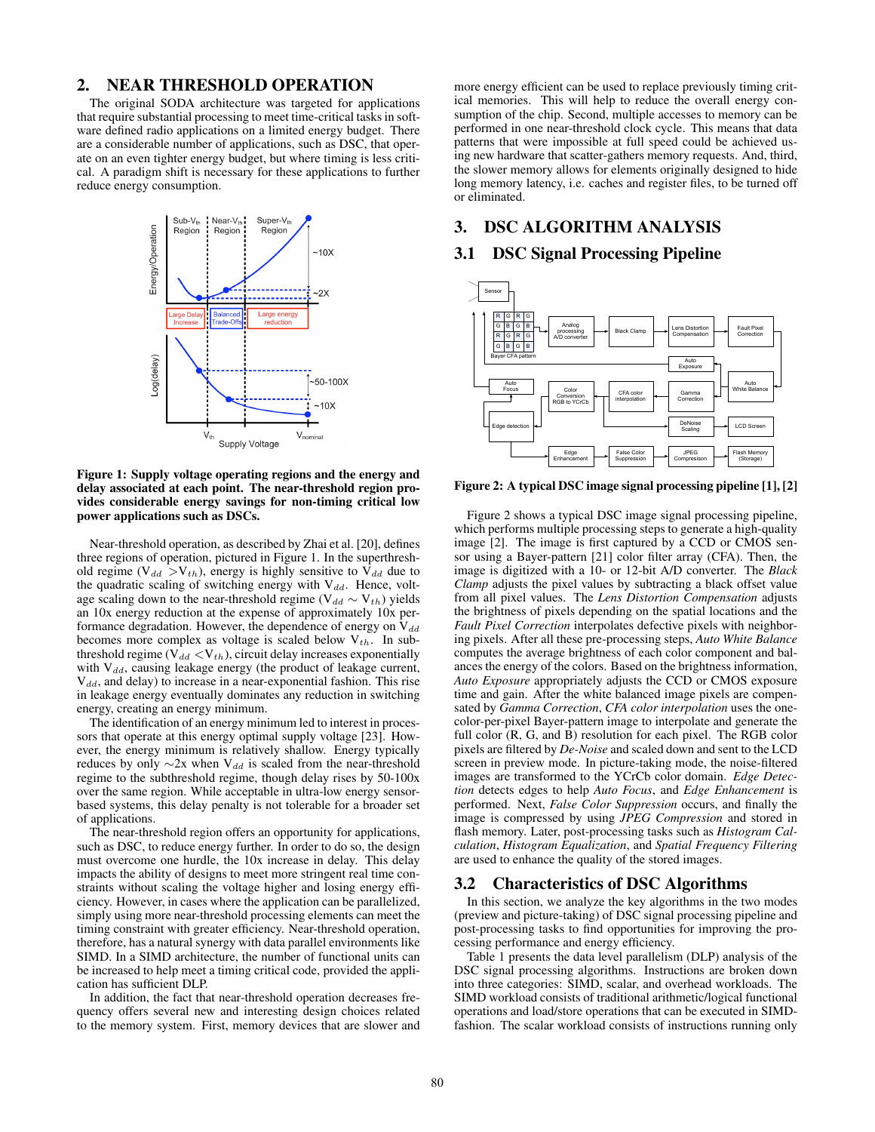### 2. NEAR THRESHOLD OPERATION

The original SODA architecture was targeted for applications that require substantial processing to meet time-critical tasks in software defined radio applications on a limited energy budget. There are a considerable number of applications, such as DSC, that operate on an even tighter energy budget, but where timing is less critical. A paradigm shift is necessary for these applications to further reduce energy consumption.



Figure 1: Supply voltage operating regions and the energy and delay associated at each point. The near-threshold region provides considerable energy savings for non-timing critical low power applications such as DSCs.

Near-threshold operation, as described by Zhai et al. [20], defines three regions of operation, pictured in Figure 1. In the superthreshold regime ( $V_{dd} > V_{th}$ ), energy is highly sensitive to  $V_{dd}$  due to the quadratic scaling of switching energy with  $V_{dd}$ . Hence, voltage scaling down to the near-threshold regime ( $V_{dd} \sim V_{th}$ ) yields an 10x energy reduction at the expense of approximately 10x performance degradation. However, the dependence of energy on  $V_{dd}$ becomes more complex as voltage is scaled below  $V_{th}$ . In subthreshold regime ( $V_{dd} < V_{th}$ ), circuit delay increases exponentially with  $V_{dd}$ , causing leakage energy (the product of leakage current,  $V_{dd}$ , and delay) to increase in a near-exponential fashion. This rise in leakage energy eventually dominates any reduction in switching energy, creating an energy minimum.

The identification of an energy minimum led to interest in processors that operate at this energy optimal supply voltage [23]. However, the energy minimum is relatively shallow. Energy typically reduces by only  $\sim$ 2x when V<sub>dd</sub> is scaled from the near-threshold regime to the subthreshold regime, though delay rises by 50-100x over the same region. While acceptable in ultra-low energy sensorbased systems, this delay penalty is not tolerable for a broader set of applications.

The near-threshold region offers an opportunity for applications, such as DSC, to reduce energy further. In order to do so, the design must overcome one hurdle, the 10x increase in delay. This delay impacts the ability of designs to meet more stringent real time constraints without scaling the voltage higher and losing energy efficiency. However, in cases where the application can be parallelized, simply using more near-threshold processing elements can meet the timing constraint with greater efficiency. Near-threshold operation, therefore, has a natural synergy with data parallel environments like SIMD. In a SIMD architecture, the number of functional units can be increased to help meet a timing critical code, provided the application has sufficient DLP.

In addition, the fact that near-threshold operation decreases frequency offers several new and interesting design choices related to the memory system. First, memory devices that are slower and more energy efficient can be used to replace previously timing critical memories. This will help to reduce the overall energy consumption of the chip. Second, multiple accesses to memory can be performed in one near-threshold clock cycle. This means that data patterns that were impossible at full speed could be achieved using new hardware that scatter-gathers memory requests. And, third, the slower memory allows for elements originally designed to hide long memory latency, i.e. caches and register files, to be turned off or eliminated.

## 3. DSC ALGORITHM ANALYSIS

### 3.1 DSC Signal Processing Pipeline



Figure 2: A typical DSC image signal processing pipeline [1], [2]

Figure 2 shows a typical DSC image signal processing pipeline, which performs multiple processing steps to generate a high-quality image [2]. The image is first captured by a CCD or CMOS sensor using a Bayer-pattern [21] color filter array (CFA). Then, the image is digitized with a 10- or 12-bit A/D converter. The *Black Clamp* adjusts the pixel values by subtracting a black offset value from all pixel values. The *Lens Distortion Compensation* adjusts the brightness of pixels depending on the spatial locations and the *Fault Pixel Correction* interpolates defective pixels with neighboring pixels. After all these pre-processing steps, *Auto White Balance* computes the average brightness of each color component and balances the energy of the colors. Based on the brightness information, *Auto Exposure* appropriately adjusts the CCD or CMOS exposure time and gain. After the white balanced image pixels are compensated by *Gamma Correction*, *CFA color interpolation* uses the onecolor-per-pixel Bayer-pattern image to interpolate and generate the full color (R, G, and B) resolution for each pixel. The RGB color pixels are filtered by *De-Noise* and scaled down and sent to the LCD screen in preview mode. In picture-taking mode, the noise-filtered images are transformed to the YCrCb color domain. *Edge Detection* detects edges to help *Auto Focus*, and *Edge Enhancement* is performed. Next, *False Color Suppression* occurs, and finally the image is compressed by using *JPEG Compression* and stored in flash memory. Later, post-processing tasks such as *Histogram Calculation*, *Histogram Equalization*, and *Spatial Frequency Filtering* are used to enhance the quality of the stored images.

### 3.2 Characteristics of DSC Algorithms

In this section, we analyze the key algorithms in the two modes (preview and picture-taking) of DSC signal processing pipeline and post-processing tasks to find opportunities for improving the processing performance and energy efficiency.

Table 1 presents the data level parallelism (DLP) analysis of the DSC signal processing algorithms. Instructions are broken down into three categories: SIMD, scalar, and overhead workloads. The SIMD workload consists of traditional arithmetic/logical functional operations and load/store operations that can be executed in SIMDfashion. The scalar workload consists of instructions running only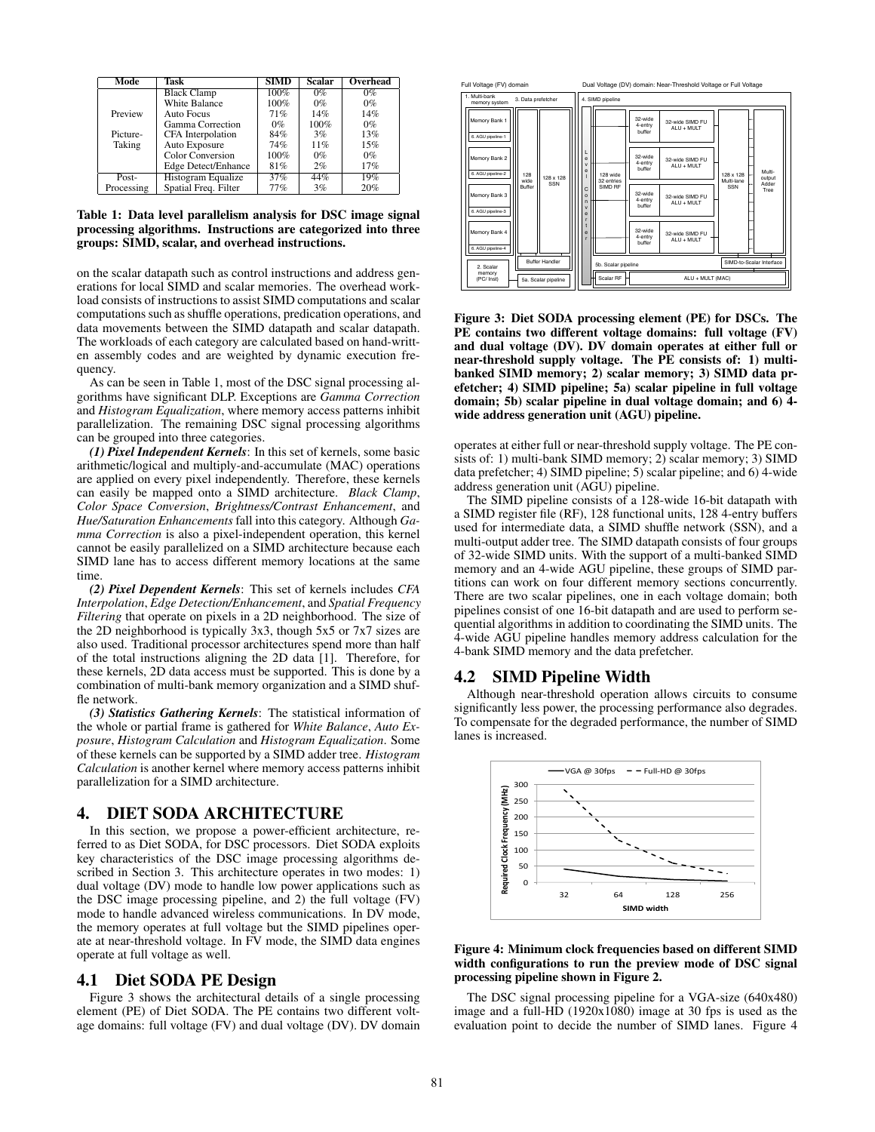| Mode       | Task                    | <b>SIMD</b> | <b>Scalar</b> | Overhead |
|------------|-------------------------|-------------|---------------|----------|
|            | <b>Black Clamp</b>      | 100%        | $0\%$         | $0\%$    |
|            | White Balance           | 100%        | $0\%$         | $0\%$    |
| Preview    | Auto Focus              | 71%         | 14%           | 14%      |
|            | Gamma Correction        | $0\%$       | 100%          | $0\%$    |
| Picture-   | CFA Interpolation       | 84%         | 3%            | 13%      |
| Taking     | Auto Exposure           | 74%         | 11%           | 15%      |
|            | <b>Color Conversion</b> | 100%        | $0\%$         | $0\%$    |
|            | Edge Detect/Enhance     | 81%         | 2%            | 17%      |
| Post-      | Histogram Equalize      | 37%         | 44%           | 19%      |
| Processing | Spatial Freq. Filter    | 77%         | 3%            | 20%      |

Table 1: Data level parallelism analysis for DSC image signal processing algorithms. Instructions are categorized into three groups: SIMD, scalar, and overhead instructions.

on the scalar datapath such as control instructions and address generations for local SIMD and scalar memories. The overhead workload consists of instructions to assist SIMD computations and scalar computations such as shuffle operations, predication operations, and data movements between the SIMD datapath and scalar datapath. The workloads of each category are calculated based on hand-written assembly codes and are weighted by dynamic execution frequency.

As can be seen in Table 1, most of the DSC signal processing algorithms have significant DLP. Exceptions are *Gamma Correction* and *Histogram Equalization*, where memory access patterns inhibit parallelization. The remaining DSC signal processing algorithms can be grouped into three categories.

*(1) Pixel Independent Kernels*: In this set of kernels, some basic arithmetic/logical and multiply-and-accumulate (MAC) operations are applied on every pixel independently. Therefore, these kernels can easily be mapped onto a SIMD architecture. *Black Clamp*, *Color Space Conversion*, *Brightness/Contrast Enhancement*, and *Hue/Saturation Enhancements* fall into this category. Although *Gamma Correction* is also a pixel-independent operation, this kernel cannot be easily parallelized on a SIMD architecture because each SIMD lane has to access different memory locations at the same time.

*(2) Pixel Dependent Kernels*: This set of kernels includes *CFA Interpolation*, *Edge Detection/Enhancement*, and *Spatial Frequency Filtering* that operate on pixels in a 2D neighborhood. The size of the 2D neighborhood is typically 3x3, though 5x5 or 7x7 sizes are also used. Traditional processor architectures spend more than half of the total instructions aligning the 2D data [1]. Therefore, for these kernels, 2D data access must be supported. This is done by a combination of multi-bank memory organization and a SIMD shuffle network.

*(3) Statistics Gathering Kernels*: The statistical information of the whole or partial frame is gathered for *White Balance*, *Auto Exposure*, *Histogram Calculation* and *Histogram Equalization*. Some of these kernels can be supported by a SIMD adder tree. *Histogram Calculation* is another kernel where memory access patterns inhibit parallelization for a SIMD architecture.

### 4. DIET SODA ARCHITECTURE

In this section, we propose a power-efficient architecture, referred to as Diet SODA, for DSC processors. Diet SODA exploits key characteristics of the DSC image processing algorithms described in Section 3. This architecture operates in two modes: 1) dual voltage (DV) mode to handle low power applications such as the DSC image processing pipeline, and 2) the full voltage (FV) mode to handle advanced wireless communications. In DV mode, the memory operates at full voltage but the SIMD pipelines operate at near-threshold voltage. In FV mode, the SIMD data engines operate at full voltage as well.

### 4.1 Diet SODA PE Design

Figure 3 shows the architectural details of a single processing element (PE) of Diet SODA. The PE contains two different voltage domains: full voltage (FV) and dual voltage (DV). DV domain



Figure 3: Diet SODA processing element (PE) for DSCs. The PE contains two different voltage domains: full voltage (FV) and dual voltage (DV). DV domain operates at either full or near-threshold supply voltage. The PE consists of: 1) multibanked SIMD memory; 2) scalar memory; 3) SIMD data prefetcher; 4) SIMD pipeline; 5a) scalar pipeline in full voltage domain; 5b) scalar pipeline in dual voltage domain; and 6) 4 wide address generation unit (AGU) pipeline.

operates at either full or near-threshold supply voltage. The PE consists of: 1) multi-bank SIMD memory; 2) scalar memory; 3) SIMD data prefetcher; 4) SIMD pipeline; 5) scalar pipeline; and 6) 4-wide address generation unit (AGU) pipeline.

The SIMD pipeline consists of a 128-wide 16-bit datapath with a SIMD register file (RF), 128 functional units, 128 4-entry buffers used for intermediate data, a SIMD shuffle network (SSN), and a multi-output adder tree. The SIMD datapath consists of four groups of 32-wide SIMD units. With the support of a multi-banked SIMD memory and an 4-wide AGU pipeline, these groups of SIMD partitions can work on four different memory sections concurrently. There are two scalar pipelines, one in each voltage domain; both pipelines consist of one 16-bit datapath and are used to perform sequential algorithms in addition to coordinating the SIMD units. The 4-wide AGU pipeline handles memory address calculation for the 4-bank SIMD memory and the data prefetcher.

#### 4.2 SIMD Pipeline Width

Although near-threshold operation allows circuits to consume significantly less power, the processing performance also degrades. To compensate for the degraded performance, the number of SIMD lanes is increased.



#### Figure 4: Minimum clock frequencies based on different SIMD width configurations to run the preview mode of DSC signal processing pipeline shown in Figure 2.

The DSC signal processing pipeline for a VGA-size (640x480) image and a full-HD (1920x1080) image at 30 fps is used as the evaluation point to decide the number of SIMD lanes. Figure 4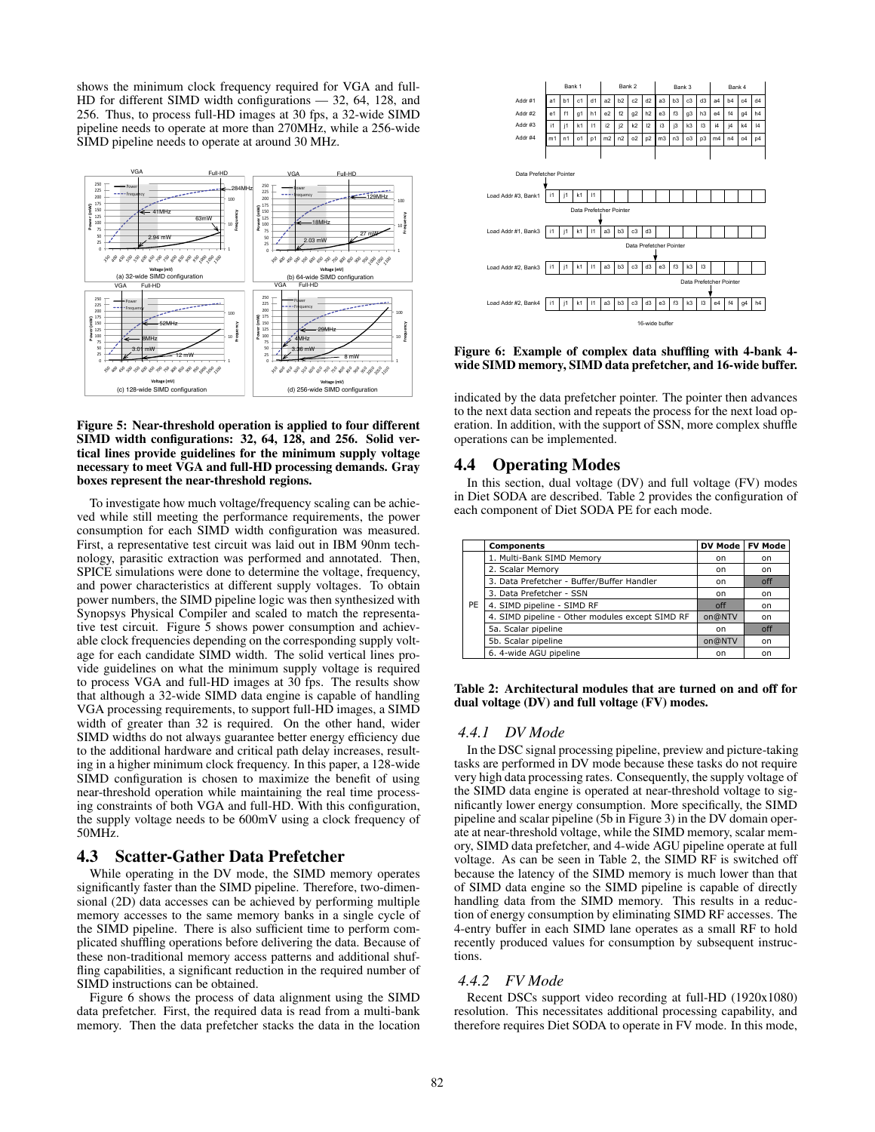shows the minimum clock frequency required for VGA and full-HD for different SIMD width configurations - 32, 64, 128, and 256. Thus, to process full-HD images at 30 fps, a 32-wide SIMD pipeline needs to operate at more than 270MHz, while a 256-wide SIMD pipeline needs to operate at around 30 MHz.



#### Figure 5: Near-threshold operation is applied to four different SIMD width configurations: 32, 64, 128, and 256. Solid vertical lines provide guidelines for the minimum supply voltage necessary to meet VGA and full-HD processing demands. Gray boxes represent the near-threshold regions.

To investigate how much voltage/frequency scaling can be achieved while still meeting the performance requirements, the power consumption for each SIMD width configuration was measured. First, a representative test circuit was laid out in IBM 90nm technology, parasitic extraction was performed and annotated. Then, SPICE simulations were done to determine the voltage, frequency, and power characteristics at different supply voltages. To obtain power numbers, the SIMD pipeline logic was then synthesized with Synopsys Physical Compiler and scaled to match the representative test circuit. Figure 5 shows power consumption and achievable clock frequencies depending on the corresponding supply voltage for each candidate SIMD width. The solid vertical lines provide guidelines on what the minimum supply voltage is required to process VGA and full-HD images at 30 fps. The results show that although a 32-wide SIMD data engine is capable of handling VGA processing requirements, to support full-HD images, a SIMD width of greater than 32 is required. On the other hand, wider SIMD widths do not always guarantee better energy efficiency due to the additional hardware and critical path delay increases, resulting in a higher minimum clock frequency. In this paper, a 128-wide SIMD configuration is chosen to maximize the benefit of using near-threshold operation while maintaining the real time processing constraints of both VGA and full-HD. With this configuration, the supply voltage needs to be 600mV using a clock frequency of 50MHz.

#### 4.3 **Scatter-Gather Data Prefetcher**

While operating in the DV mode, the SIMD memory operates significantly faster than the SIMD pipeline. Therefore, two-dimensional (2D) data accesses can be achieved by performing multiple memory accesses to the same memory banks in a single cycle of the SIMD pipeline. There is also sufficient time to perform complicated shuffling operations before delivering the data. Because of these non-traditional memory access patterns and additional shuffling capabilities, a significant reduction in the required number of SIMD instructions can be obtained.

Figure 6 shows the process of data alignment using the SIMD data prefetcher. First, the required data is read from a multi-bank memory. Then the data prefetcher stacks the data in the location



Figure 6: Example of complex data shuffling with 4-bank 4wide SIMD memory, SIMD data prefetcher, and 16-wide buffer.

indicated by the data prefetcher pointer. The pointer then advances to the next data section and repeats the process for the next load operation. In addition, with the support of SSN, more complex shuffle operations can be implemented.

### **4.4 Operating Modes**

In this section, dual voltage (DV) and full voltage (FV) modes in Diet SODA are described. Table 2 provides the configuration of each component of Diet SODA PE for each mode.

|    | Components                                      | <b>DV Mode</b> | <b>FV Mode</b> |
|----|-------------------------------------------------|----------------|----------------|
|    | 1. Multi-Bank SIMD Memory                       | on             | on.            |
|    | 2. Scalar Memory                                | on             | on.            |
|    | 3. Data Prefetcher - Buffer/Buffer Handler      | on             | off            |
|    | 3. Data Prefetcher - SSN                        | on             | on             |
| PE | 4. SIMD pipeline - SIMD RF                      | off            | on             |
|    | 4. SIMD pipeline - Other modules except SIMD RF | on@NTV         | on             |
|    | 5a. Scalar pipeline                             | on             | off            |
|    | 5b. Scalar pipeline                             | on@NTV         | on.            |
|    | 6. 4-wide AGU pipeline                          | on             | on             |

Table 2: Architectural modules that are turned on and off for dual voltage (DV) and full voltage (FV) modes.

#### 4.4.1 DV Mode

In the DSC signal processing pipeline, preview and picture-taking tasks are performed in DV mode because these tasks do not require very high data processing rates. Consequently, the supply voltage of the SIMD data engine is operated at near-threshold voltage to significantly lower energy consumption. More specifically, the SIMD pipeline and scalar pipeline (5b in Figure 3) in the DV domain operate at near-threshold voltage, while the SIMD memory, scalar memory, SIMD data prefetcher, and 4-wide AGU pipeline operate at full voltage. As can be seen in Table 2, the SIMD RF is switched off because the latency of the SIMD memory is much lower than that of SIMD data engine so the SIMD pipeline is capable of directly handling data from the SIMD memory. This results in a reduction of energy consumption by eliminating SIMD RF accesses. The 4-entry buffer in each SIMD lane operates as a small RF to hold recently produced values for consumption by subsequent instructions.

#### 4.4.2 *FV Mode*

Recent DSCs support video recording at full-HD (1920x1080) resolution. This necessitates additional processing capability, and therefore requires Diet SODA to operate in FV mode. In this mode,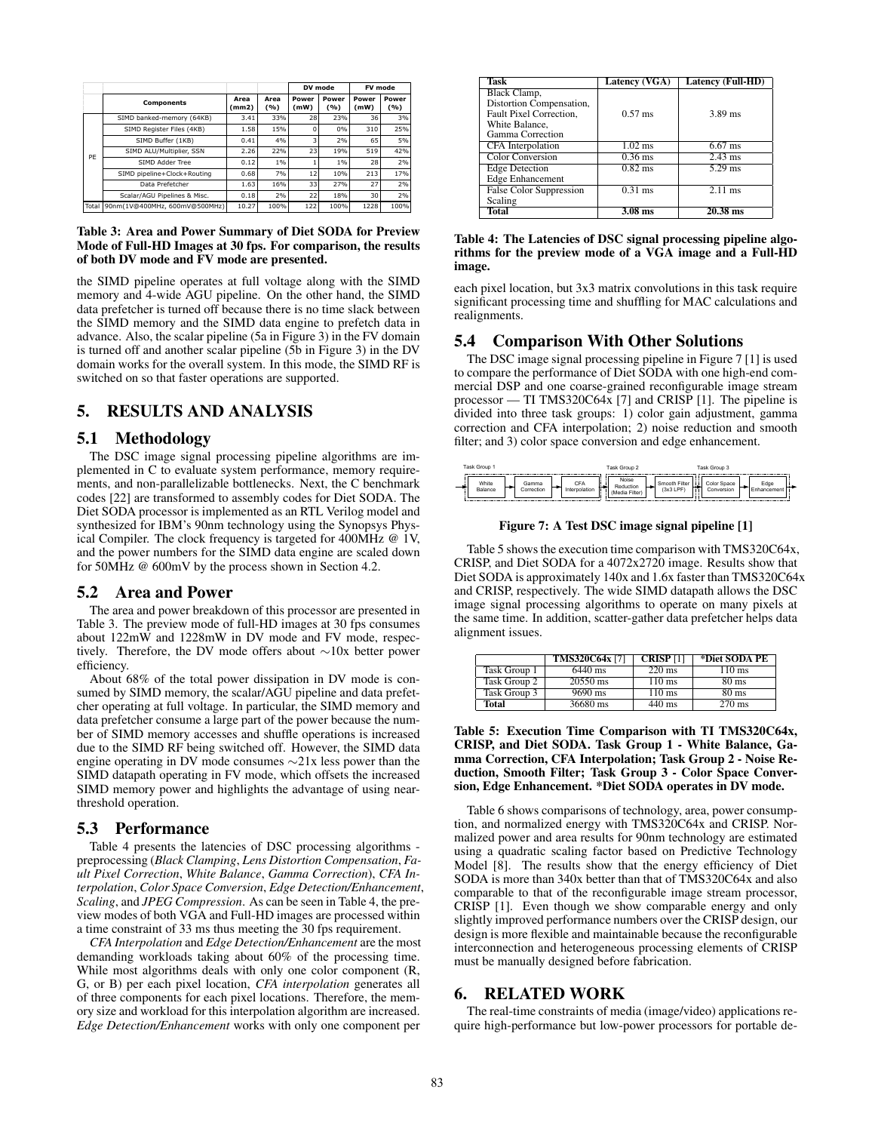|       |                               |               |               |               | DV mode        | FV mode       |                |
|-------|-------------------------------|---------------|---------------|---------------|----------------|---------------|----------------|
|       | Components                    | Area<br>(mm2) | Area<br>(9/6) | Power<br>(mW) | Power<br>(9/6) | Power<br>(mW) | Power<br>(9/6) |
|       | SIMD banked-memory (64KB)     | 3.41          | 33%           | 28            | 23%            | 36            | 3%             |
|       | SIMD Register Files (4KB)     | 1.58          | 15%           | o             | 0%             | 310           | 25%            |
| PF    | SIMD Buffer (1KB)             | 0.41          | 4%            | 3             | 2%             | 65            | 5%             |
|       | SIMD ALU/Multiplier, SSN      | 2.26          | 22%           | 23            | 19%            | 519           | 42%            |
|       | SIMD Adder Tree               | 0.12          | $1\%$         |               | 1%             | 28            | 2%             |
|       | SIMD pipeline+Clock+Routing   | 0.68          | 7%            | 12            | 10%            | 213           | 17%            |
|       | Data Prefetcher               | 1.63          | 16%           | 33            | 27%            | 27            | 2%             |
|       | Scalar/AGU Pipelines & Misc.  | 0.18          | 2%            | 22            | 18%            | 30            | 2%             |
| Total | 90nm(1V@400MHz, 600mV@500MHz) | 10.27         | 100%          | 122           | 100%           | 1228          | 100%           |

#### Table 3: Area and Power Summary of Diet SODA for Preview Mode of Full-HD Images at 30 fps. For comparison, the results of both DV mode and FV mode are presented.

the SIMD pipeline operates at full voltage along with the SIMD memory and 4-wide AGU pipeline. On the other hand, the SIMD data prefetcher is turned off because there is no time slack between the SIMD memory and the SIMD data engine to prefetch data in advance. Also, the scalar pipeline (5a in Figure 3) in the FV domain is turned off and another scalar pipeline (5b in Figure 3) in the DV domain works for the overall system. In this mode, the SIMD RF is switched on so that faster operations are supported.

## 5. RESULTS AND ANALYSIS

### 5.1 Methodology

The DSC image signal processing pipeline algorithms are implemented in C to evaluate system performance, memory requirements, and non-parallelizable bottlenecks. Next, the C benchmark codes [22] are transformed to assembly codes for Diet SODA. The Diet SODA processor is implemented as an RTL Verilog model and synthesized for IBM's 90nm technology using the Synopsys Physical Compiler. The clock frequency is targeted for 400MHz @ 1V, and the power numbers for the SIMD data engine are scaled down for 50MHz @ 600mV by the process shown in Section 4.2.

### 5.2 Area and Power

The area and power breakdown of this processor are presented in Table 3. The preview mode of full-HD images at 30 fps consumes about 122mW and 1228mW in DV mode and FV mode, respectively. Therefore, the DV mode offers about ∼10x better power efficiency.

About 68% of the total power dissipation in DV mode is consumed by SIMD memory, the scalar/AGU pipeline and data prefetcher operating at full voltage. In particular, the SIMD memory and data prefetcher consume a large part of the power because the number of SIMD memory accesses and shuffle operations is increased due to the SIMD RF being switched off. However, the SIMD data engine operating in DV mode consumes ∼21x less power than the SIMD datapath operating in FV mode, which offsets the increased SIMD memory power and highlights the advantage of using nearthreshold operation.

#### 5.3 Performance

Table 4 presents the latencies of DSC processing algorithms preprocessing (*Black Clamping*, *Lens Distortion Compensation*, *Fault Pixel Correction*, *White Balance*, *Gamma Correction*), *CFA Interpolation*, *Color Space Conversion*, *Edge Detection/Enhancement*, *Scaling*, and *JPEG Compression*. As can be seen in Table 4, the preview modes of both VGA and Full-HD images are processed within a time constraint of 33 ms thus meeting the 30 fps requirement.

*CFA Interpolation* and *Edge Detection/Enhancement* are the most demanding workloads taking about 60% of the processing time. While most algorithms deals with only one color component (R, G, or B) per each pixel location, *CFA interpolation* generates all of three components for each pixel locations. Therefore, the memory size and workload for this interpolation algorithm are increased. *Edge Detection/Enhancement* works with only one component per

| Task                                                                                                      | Latency (VGA)        | Latency (Full-HD) |
|-----------------------------------------------------------------------------------------------------------|----------------------|-------------------|
| Black Clamp,<br>Distortion Compensation,<br>Fault Pixel Correction.<br>White Balance,<br>Gamma Correction | $0.57 \text{ ms}$    | $3.89$ ms         |
| <b>CFA</b> Interpolation                                                                                  | $1.02$ ms            | $6.67$ ms         |
| Color Conversion                                                                                          | $0.36$ ms            | $2.43$ ms         |
| <b>Edge Detection</b><br><b>Edge Enhancement</b>                                                          | $0.82$ ms            | $5.29$ ms         |
| <b>False Color Suppression</b><br>Scaling                                                                 | $\overline{0.31}$ ms | $2.11$ ms         |
| Total                                                                                                     | $3.08$ ms            | $20.38$ ms        |

#### Table 4: The Latencies of DSC signal processing pipeline algorithms for the preview mode of a VGA image and a Full-HD image.

each pixel location, but 3x3 matrix convolutions in this task require significant processing time and shuffling for MAC calculations and realignments.

### 5.4 Comparison With Other Solutions

The DSC image signal processing pipeline in Figure 7 [1] is used to compare the performance of Diet SODA with one high-end commercial DSP and one coarse-grained reconfigurable image stream processor — TI TMS320C64x [7] and CRISP [1]. The pipeline is divided into three task groups: 1) color gain adjustment, gamma correction and CFA interpolation; 2) noise reduction and smooth filter; and 3) color space conversion and edge enhancement.

| Task Group 1                            | Task Group 2                                                | Task Group 3                                           |                     |
|-----------------------------------------|-------------------------------------------------------------|--------------------------------------------------------|---------------------|
| White<br>Gamma<br>Balance<br>Correction | Noise<br>CFA<br>Reduction<br>nterpolation<br>(Media Filter) | Smooth Filter<br>Color Space<br>(3x3 LPF<br>Conversion | Edge<br>Enhancement |

### Figure 7: A Test DSC image signal pipeline [1]

Table 5 shows the execution time comparison with TMS320C64x, CRISP, and Diet SODA for a 4072x2720 image. Results show that Diet SODA is approximately 140x and 1.6x faster than TMS320C64x and CRISP, respectively. The wide SIMD datapath allows the DSC image signal processing algorithms to operate on many pixels at the same time. In addition, scatter-gather data prefetcher helps data alignment issues.

|              | <b>TMS320C64x [7]</b> | <b>CRISP</b> <sup>[1]</sup> | *Diet SODA PE    |
|--------------|-----------------------|-----------------------------|------------------|
| Task Group 1 | 6440 ms               | $220 \text{ ms}$            | $110 \text{ ms}$ |
| Task Group 2 | $20550$ ms            | $110 \text{ ms}$            | $80 \text{ ms}$  |
| Task Group 3 | 9690 ms               | $110 \text{ ms}$            | $80 \text{ ms}$  |
| Total        | 36680 ms              | $\overline{440}$ ms         | $270 \text{ ms}$ |

Table 5: Execution Time Comparison with TI TMS320C64x, CRISP, and Diet SODA. Task Group 1 - White Balance, Gamma Correction, CFA Interpolation; Task Group 2 - Noise Reduction, Smooth Filter; Task Group 3 - Color Space Conversion, Edge Enhancement. \*Diet SODA operates in DV mode.

Table 6 shows comparisons of technology, area, power consumption, and normalized energy with TMS320C64x and CRISP. Normalized power and area results for 90nm technology are estimated using a quadratic scaling factor based on Predictive Technology Model [8]. The results show that the energy efficiency of Diet SODA is more than 340x better than that of TMS320C64x and also comparable to that of the reconfigurable image stream processor, CRISP [1]. Even though we show comparable energy and only slightly improved performance numbers over the CRISP design, our design is more flexible and maintainable because the reconfigurable interconnection and heterogeneous processing elements of CRISP must be manually designed before fabrication.

### 6. RELATED WORK

The real-time constraints of media (image/video) applications require high-performance but low-power processors for portable de-